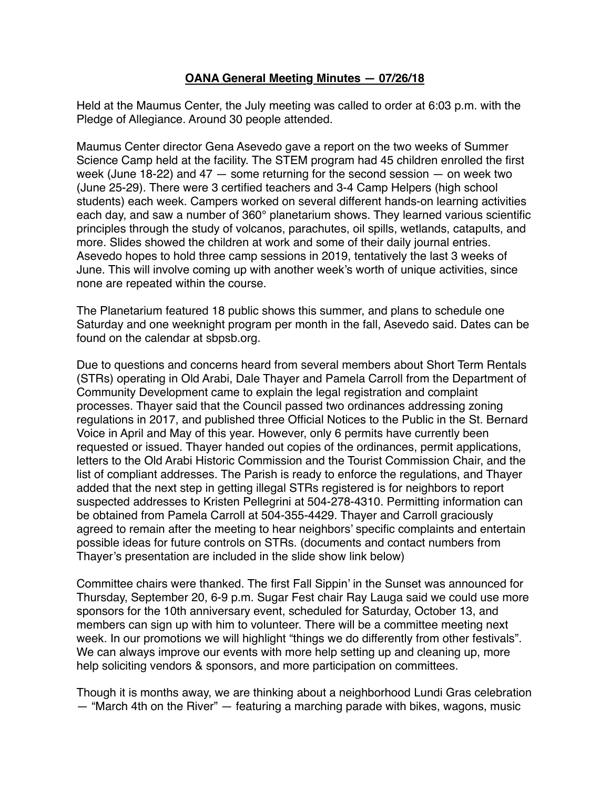## **OANA General Meeting Minutes — 07/26/18**

Held at the Maumus Center, the July meeting was called to order at 6:03 p.m. with the Pledge of Allegiance. Around 30 people attended.

Maumus Center director Gena Asevedo gave a report on the two weeks of Summer Science Camp held at the facility. The STEM program had 45 children enrolled the first week (June 18-22) and 47 — some returning for the second session — on week two (June 25-29). There were 3 certified teachers and 3-4 Camp Helpers (high school students) each week. Campers worked on several different hands-on learning activities each day, and saw a number of 360° planetarium shows. They learned various scientific principles through the study of volcanos, parachutes, oil spills, wetlands, catapults, and more. Slides showed the children at work and some of their daily journal entries. Asevedo hopes to hold three camp sessions in 2019, tentatively the last 3 weeks of June. This will involve coming up with another week's worth of unique activities, since none are repeated within the course.

The Planetarium featured 18 public shows this summer, and plans to schedule one Saturday and one weeknight program per month in the fall, Asevedo said. Dates can be found on the calendar at sbpsb.org.

Due to questions and concerns heard from several members about Short Term Rentals (STRs) operating in Old Arabi, Dale Thayer and Pamela Carroll from the Department of Community Development came to explain the legal registration and complaint processes. Thayer said that the Council passed two ordinances addressing zoning regulations in 2017, and published three Official Notices to the Public in the St. Bernard Voice in April and May of this year. However, only 6 permits have currently been requested or issued. Thayer handed out copies of the ordinances, permit applications, letters to the Old Arabi Historic Commission and the Tourist Commission Chair, and the list of compliant addresses. The Parish is ready to enforce the regulations, and Thayer added that the next step in getting illegal STRs registered is for neighbors to report suspected addresses to Kristen Pellegrini at 504-278-4310. Permitting information can be obtained from Pamela Carroll at 504-355-4429. Thayer and Carroll graciously agreed to remain after the meeting to hear neighbors' specific complaints and entertain possible ideas for future controls on STRs. (documents and contact numbers from Thayer's presentation are included in the slide show link below)

Committee chairs were thanked. The first Fall Sippin' in the Sunset was announced for Thursday, September 20, 6-9 p.m. Sugar Fest chair Ray Lauga said we could use more sponsors for the 10th anniversary event, scheduled for Saturday, October 13, and members can sign up with him to volunteer. There will be a committee meeting next week. In our promotions we will highlight "things we do differently from other festivals". We can always improve our events with more help setting up and cleaning up, more help soliciting vendors & sponsors, and more participation on committees.

Though it is months away, we are thinking about a neighborhood Lundi Gras celebration — "March 4th on the River" — featuring a marching parade with bikes, wagons, music